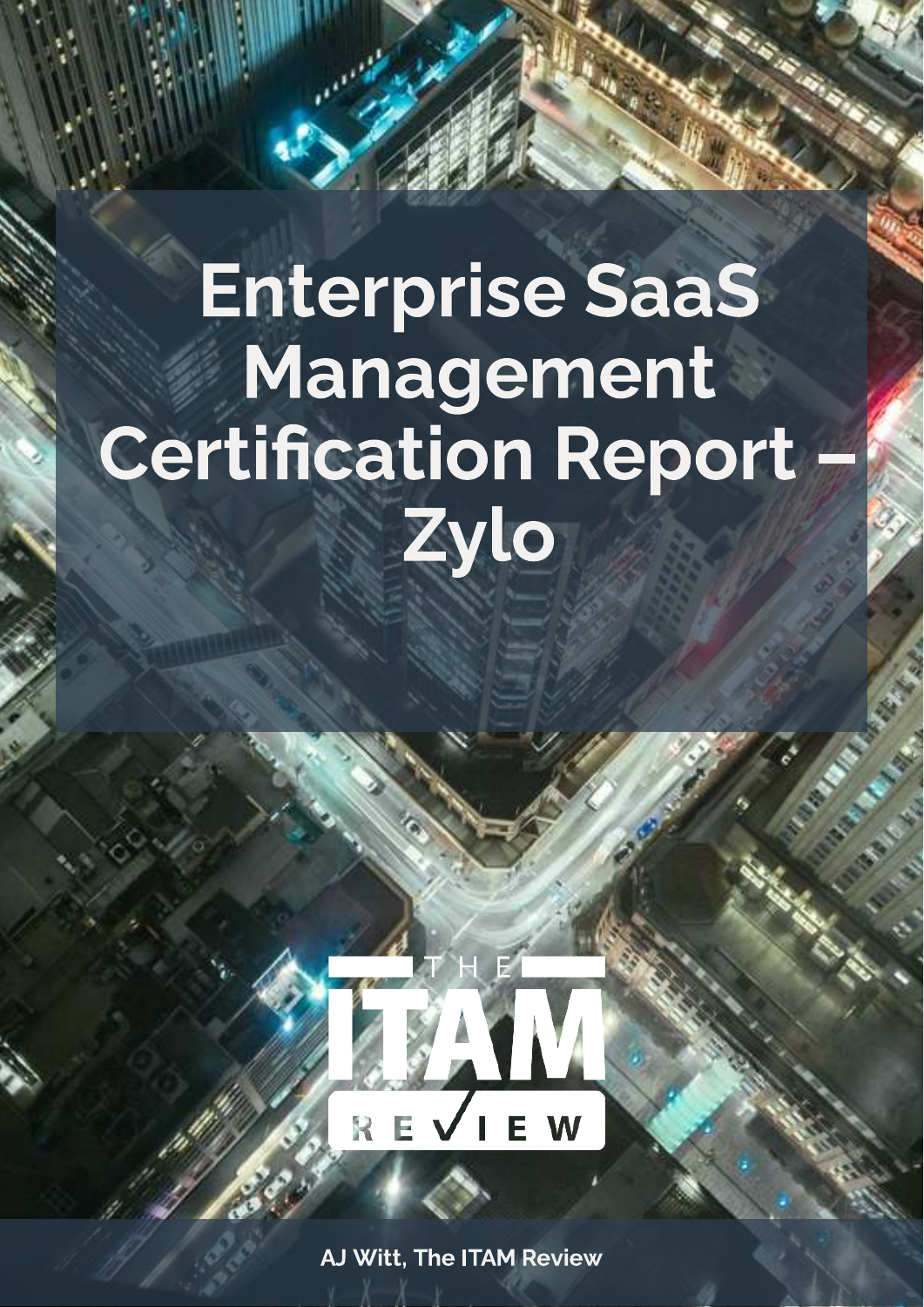# Enterprise SaaS Management **Certification Report** Zylo



AJ Witt, The ITAM Review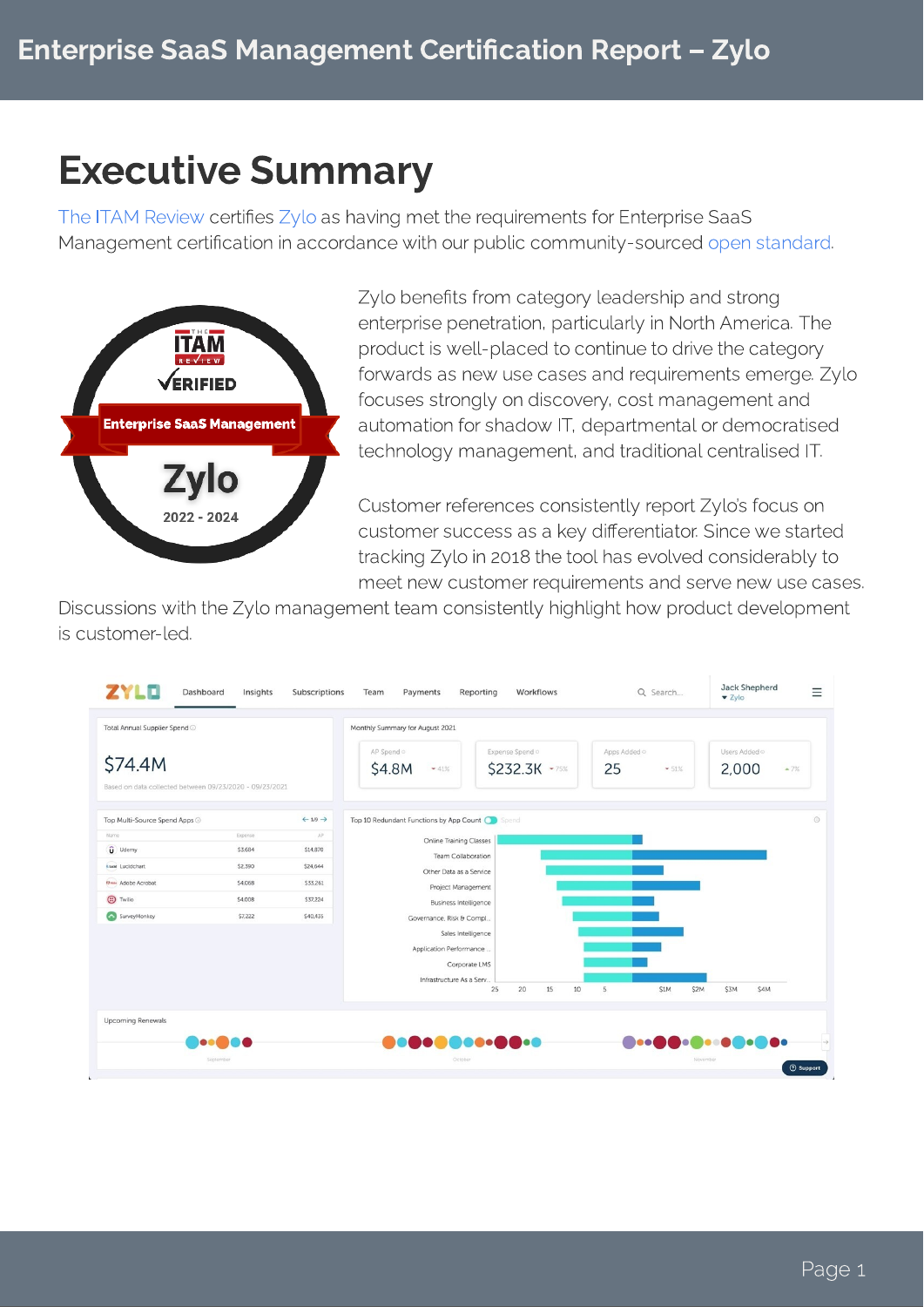## Executive Summary

certification in accordance with our public community, coursed onen Management certication in accordance with our public community-sourced [.](https://www.itassetmanagement.net/marketplace/certifications/saas-management-tool-certification-standard-v2/) Managament eestification in 20 open standard



Zylo benefits from category leadership and strong<br>enterprise penetration, particularly in North America. The product is well-placed to continue to drive the category forwards as new use cases and requirements emerge. Zylo focuses strongly on discovery, cost management and automation for shadow IT, departmental or democratised technology management, and traditional centralised IT. technology management, and traditional centralised IT.

Customer references consistently report Zylo's focus on<br>customer success as a key differentiator. Since we started tracking Zylo in 2018 the tool has evolved considerably to meet new customer requirements and serve new use cases.

meet new customer requirements and serve new use cases. Discussions with the Zylo management team consistently highlight how product development

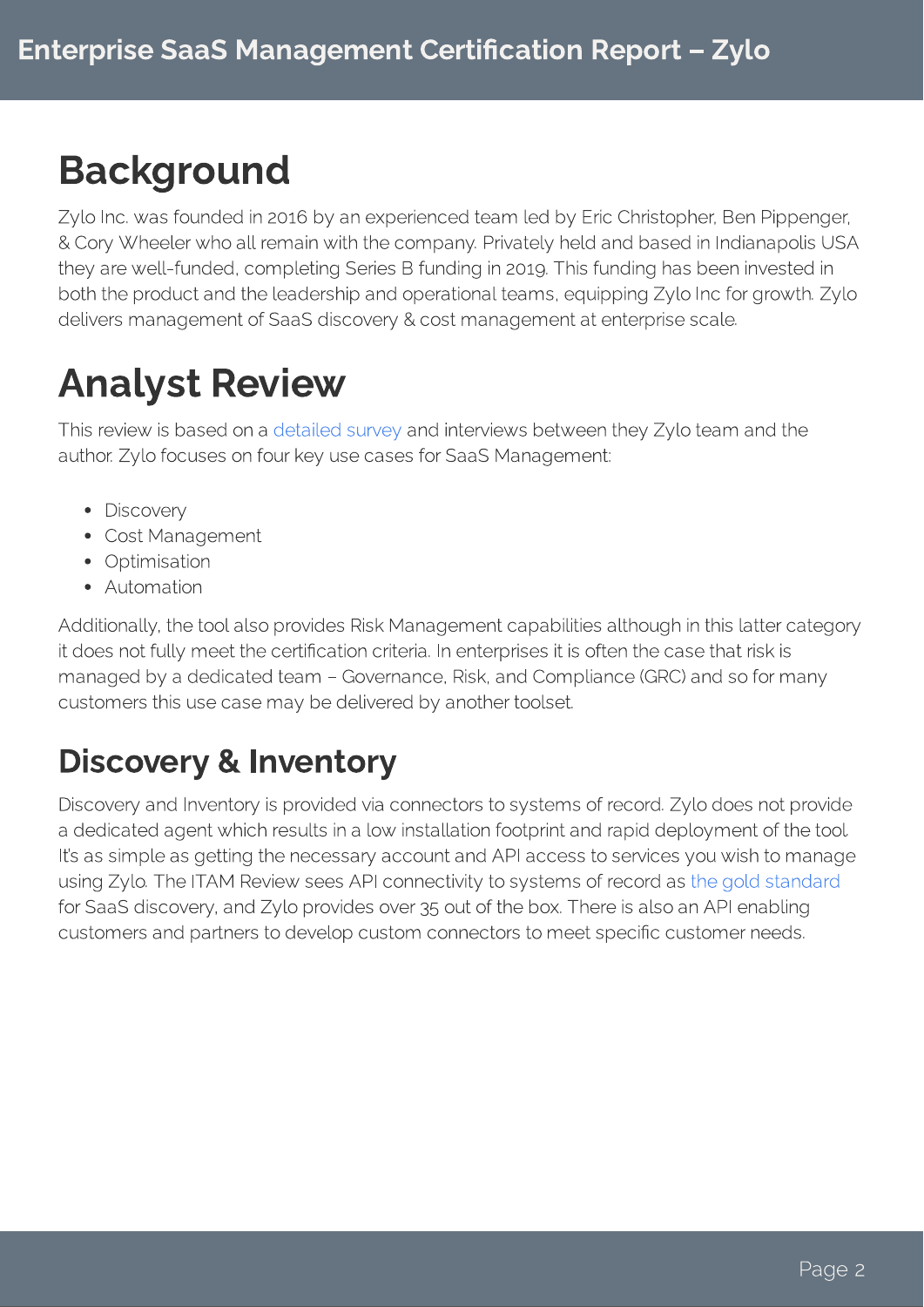# Background

Zylo Inc. was founded in 2016 by an experienced team led by Eric Christopher, Ben Pippenger,<br>& Cory Wheeler who all remain with the company. Privately held and based in Indianapolis USA they are well-funded, completing Series B funding in 2019. This funding has been invested in both the product and the leadership and operational teams, equipping Zylo Inc for growth. Zylo both the product and the leadership and operational teams, equipping Zylo Inc for growth. Zylo delivers management of SaaS discovery & cost management at enterprise scale.

# Analyst Review

Thisreview is based on a assume team of a manufacture website they by a completion they author. Zylo focuses on four key use cases for SaaS Management:

- 
- Discovery<br>• Cost Management
- Optimisation
- Automation

Additionally, the tool also provides Risk Management capabilities although in this latter category<br>it does not fully meet the certification criteria. In enterprises it is often the case that risk is managed by a dedicated team - Governance, Risk, and Compliance (GRC) and so for many managed by a dedicated team – Government principality and Compliance (GRC) and so for many customers this use case may be delivered by another toolset.

## Discovery & Inventory

Discovery and Inventory is provided via connectors to systems of record. Zylo does not provide<br>a dedicated agent which results in a low installation footprint and rapid deployment of the tool. It's as simple as getting the necessary account and API access to services you wish to manage using Zylo. The ITAM Review sees API connectivity to systems of record as the gold standard the Sooc discovery and Zylo. provides over as out of the boy. There is also an ADI coabling for SaaS discovery, and Zylo provides over 35 out of the box. There is also an API enabling customers and partners to develop custom connectors to meet specic customer needs.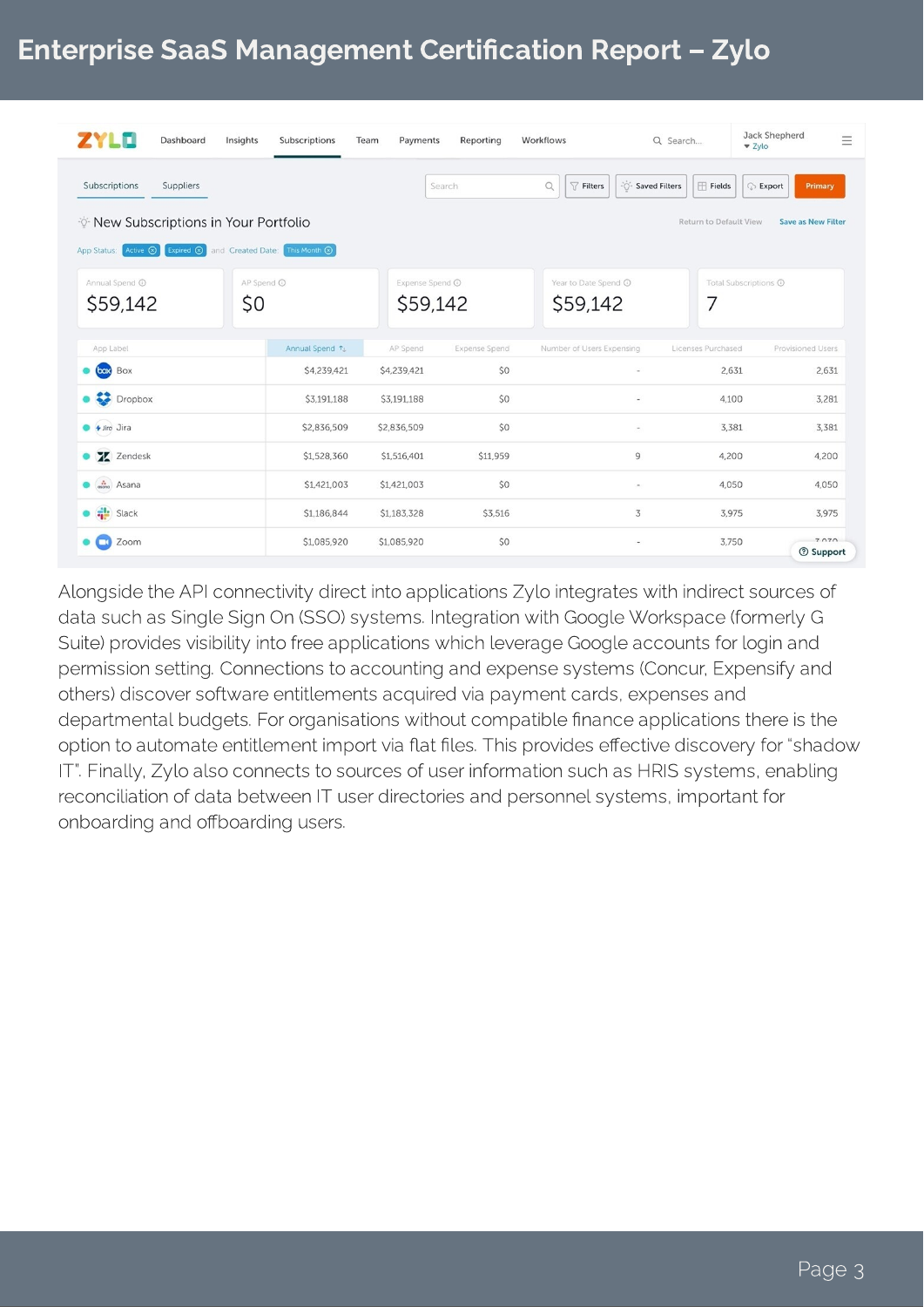#### Enterprise SaaS Management Certification Report - Zylo

| Dashboard<br>Insights<br><b>ILLE</b>                                                 | Subscriptions  | Team<br>Payments            | Reporting            | Workflows                                         | Q Search                   | Jack Shepherd<br>$\equiv$<br>Zylo |
|--------------------------------------------------------------------------------------|----------------|-----------------------------|----------------------|---------------------------------------------------|----------------------------|-----------------------------------|
| Subscriptions<br>Suppliers                                                           |                |                             | Search               | - Saved Filters<br>$\alpha$<br>$\sqrt{ }$ Filters | $f{H}$ Fields              | <b>Export</b><br>Primary          |
| <b><i>V</i></b> New Subscriptions in Your Portfolio                                  |                |                             |                      |                                                   | Return to Default View     | <b>Save as New Filter</b>         |
| App Status: Active 3<br>Expired $\circledR$ and Created Date: This Month $\circledR$ |                |                             |                      |                                                   |                            |                                   |
| Annual Spend <sup>O</sup><br>\$0<br>\$59,142                                         | AP Spend ©     | Expense Spend ©<br>\$59,142 |                      | Year to Date Spend @<br>\$59,142                  | Total Subscriptions @<br>7 |                                   |
| App Label                                                                            | Annual Spend 1 | AP Spend                    | <b>Expense Spend</b> | Number of Users Expensing                         | Licenses Purchased         | Provisioned Users                 |
| box Box                                                                              | \$4,239,421    | \$4,239,421                 | \$0                  | ×,                                                | 2,631                      | 2,631                             |
| Dropbox                                                                              | \$3,191,188    | \$3,191,188                 | \$0                  | $\omega$                                          | 4,100                      | 3,281                             |
| $\bullet$ + Jiro Jira                                                                | \$2,836,509    | \$2,836,509                 | \$0                  | $\overline{\phantom{a}}$                          | 3,381                      | 3,381                             |
| Z Zendesk                                                                            | \$1,528,360    | \$1,516,401                 | \$11,959             | 9                                                 | 4,200                      | 4,200                             |
| $\frac{1}{\text{cosmo}}$ Asana<br>۰                                                  | \$1,421,003    | \$1,421,003                 | \$0                  | $\sim$                                            | 4,050                      | 4,050                             |
| $S$ lack                                                                             | \$1,186,844    | \$1,183,328                 | \$3,516              | 3                                                 | 3,975                      | 3,975                             |
| Zoom<br>$\Box$                                                                       | \$1,085,920    | \$1,085,920                 | \$0                  | $\overline{\phantom{a}}$                          | 3,750                      | 7070<br><b>2</b> Support          |

Alongside the API connectivity direct into applications Zylo integrates with indirect sources of<br>data such as Single Sign On (SSO) systems. Integration with Google Workspace (formerly G Suite) provides visibility into free applications which leverage Google accounts for login and permission setting. Connections to accounting and expense systems (Concur, Expensify and others) discover software entitlements acquired via payment cards, expenses and departmental budgets. For organisations without compatible finance applications there is the option to automate entitlement import via flat files. This provides effective discovery for "shadow IT". Finally, Zylo also connects to sources of user information such as HRIS systems, enabling reconciliation of data between IT user directories and personnel systems, important for reconciliation of data between IT user directories and personnel systems, important for onboarding and oboarding users.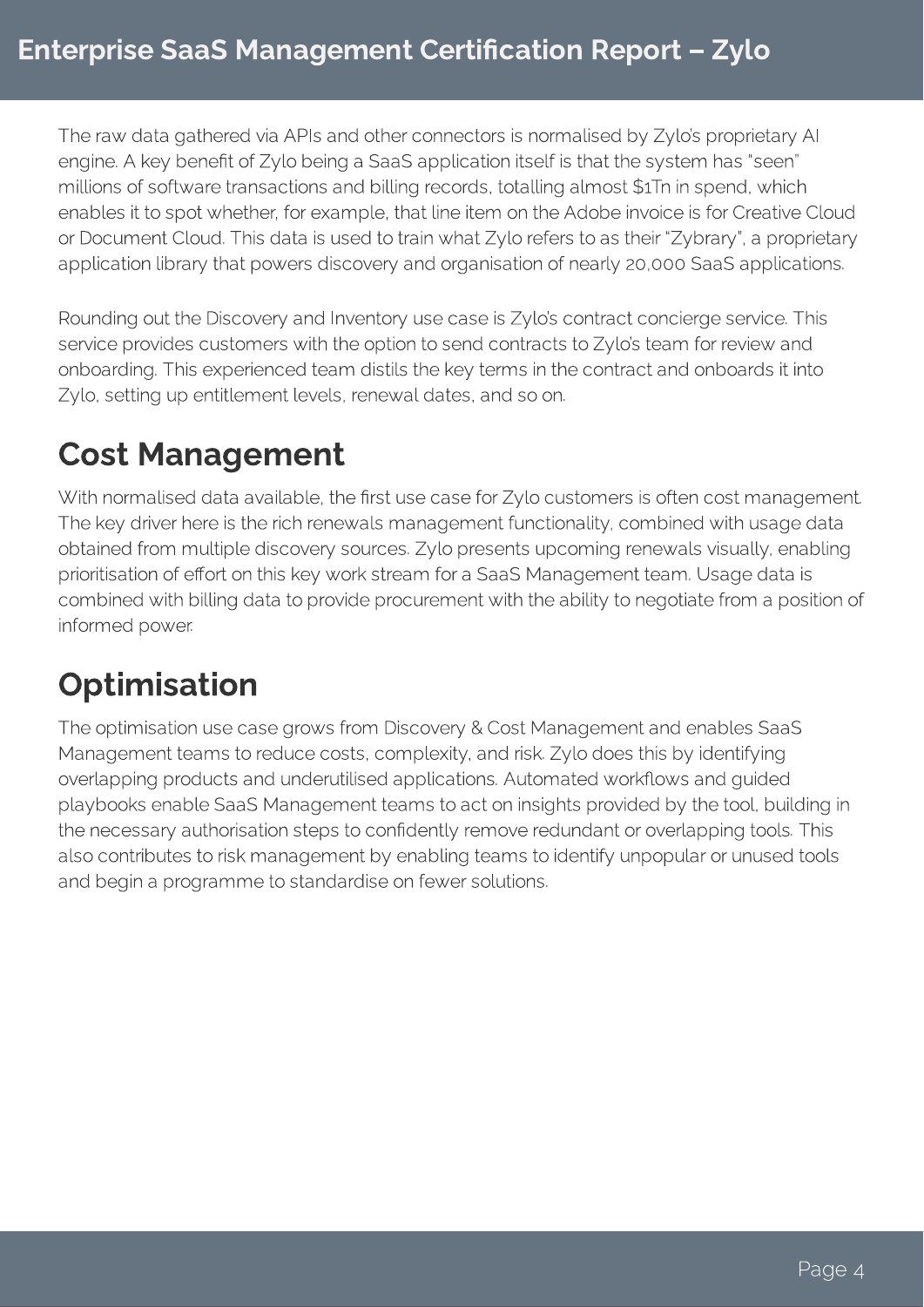The raw data gathered via APIs and other connectors is normalised by Zylo's proprietary AI engine. A key benefit of Zylo being a SaaS application itself is that the system has "seen" millions of software transactions and billing records, totalling almost \$1Tn in spend, which enables it to spot whether, for example, that line item on the Adobe invoice is for Creative Cloud or Document Cloud. This data is used to train what Zylo refers to as their "Zybrary", a proprietary application library that powers discovery and organisation of nearly 20,000 SaaS applications.

Rounding out the Discovery and Inventory use case is Zylo's contract concierge service. This service provides customers with the option to send contracts to Zylo's team for review and onboarding. This experienced team distils the key terms in the contract and onboards it into Zylo, setting up entitlement levels, renewal dates, and so on.

## Cost Management

With normalised data available, the first use case for Zylo customers is often cost management. The key driver here is the rich renewals management functionality, combined with usage data obtained from multiple discovery sources. Zylo presents upcoming renewals visually, enabling prioritisation of effort on this key work stream for a SaaS Management team. Usage data is combined with billing data to provide procurement with the ability to negotiate from a position of informed power.

## **Optimisation**

The optimisation use case grows from Discovery & Cost Management and enables SaaS Management teams to reduce costs, complexity, and risk. Zylo does this by identifying overlapping products and underutilised applications. Automated workflows and guided playbooks enable SaaS Management teams to act on insights provided by the tool, building in the necessary authorisation steps to confidently remove redundant or overlapping tools. This also contributes to risk management by enabling teams to identify unpopular or unused tools and begin a programme to standardise on fewer solutions.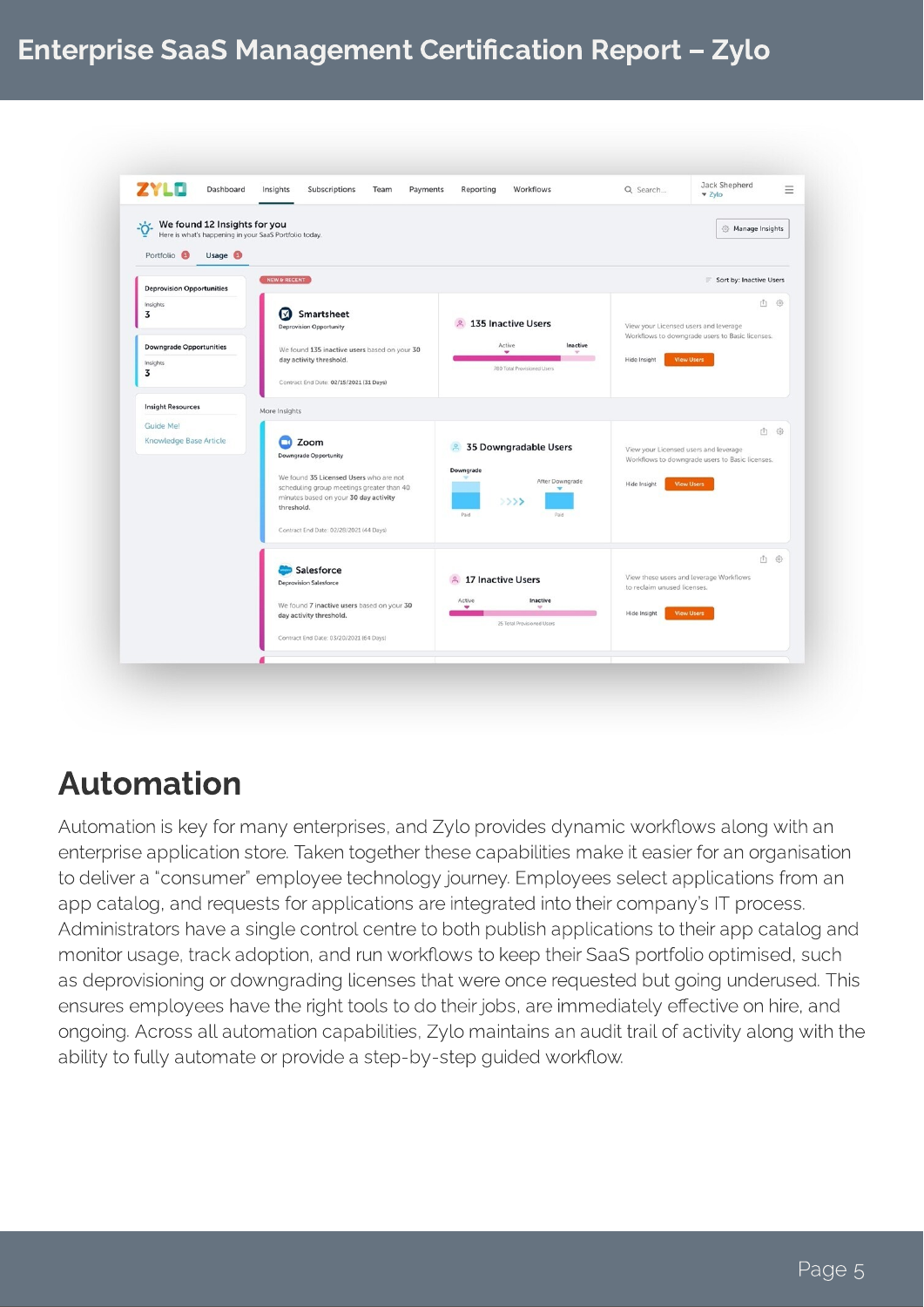#### Enterprise SaaS Management Certification Report - Zylo



#### Automation

Automation is key for many enterprises, and Zylo provides dynamic workflows along with an<br>enterprise application store. Taken together these capabilities make it easier for an organisation to deliver a "consumer" employee technology journey. Employees select applications from an app catalog, and requests for applications are integrated into their company's IT process. Administrators have a single control centre to both publish applications to their app catalog and monitor usage, track adoption, and run workflows to keep their SaaS portfolio optimised, such as deprovisioning or downgrading licenses that were once requested but going underused. This ensures employees have the right tools to do their jobs, are immediately effective on hire, and ongoing. Across all automation capabilities, Zylo maintains an audit trail of activity along with the ongoing. Across all automatic capabilities, Zylo maintains and along the activity along with the ability to fully automate or provide a step-by-step guided workow.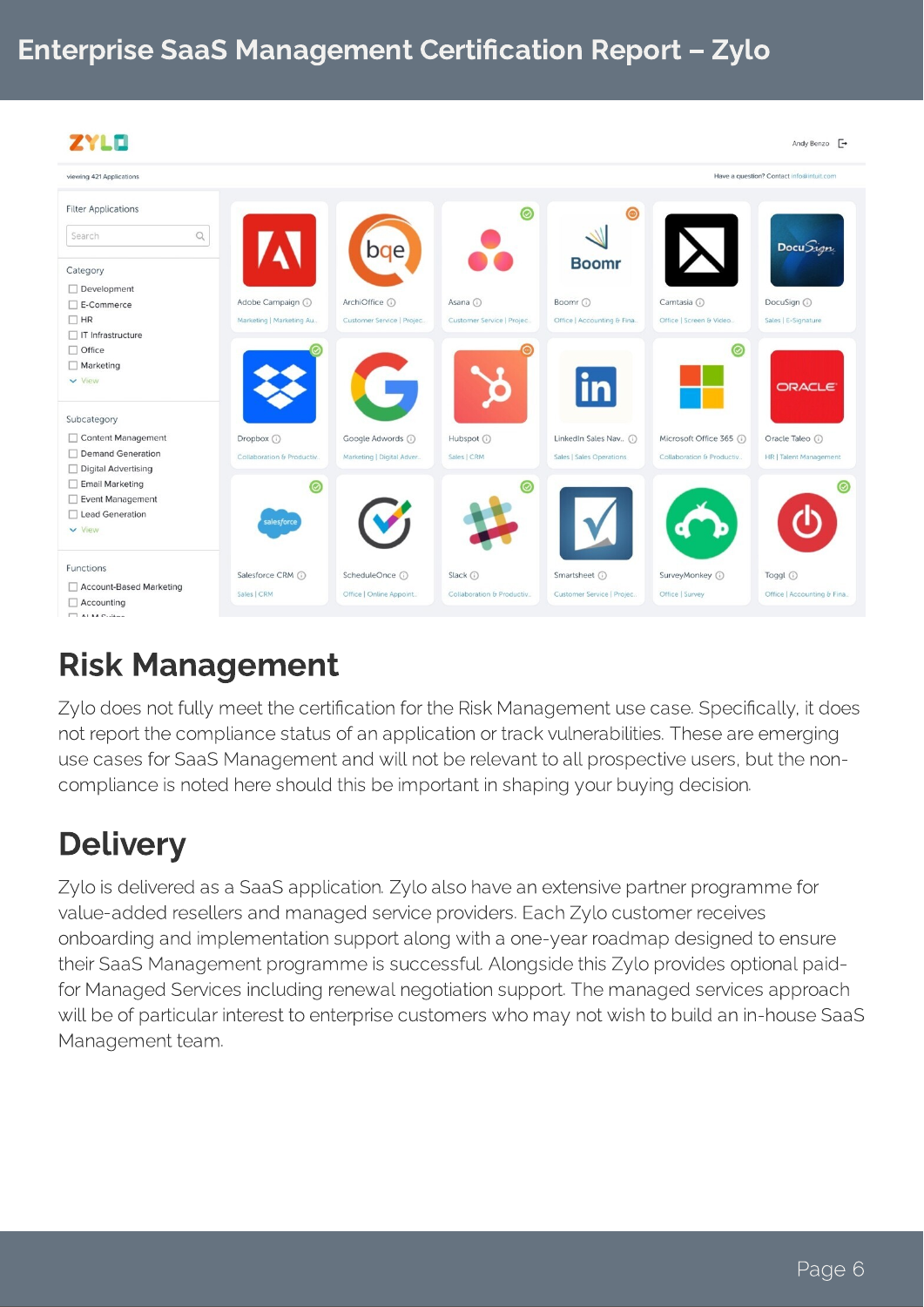| ZYLO                                |                            |                           |                           |                            |                           | Andy Benzo –                             |
|-------------------------------------|----------------------------|---------------------------|---------------------------|----------------------------|---------------------------|------------------------------------------|
| viewing 421 Applications            |                            |                           |                           |                            |                           | Have a question? Contact info@intuit.com |
| <b>Filter Applications</b>          |                            |                           | $\circledcirc$            | ◉                          |                           |                                          |
| $\hbox{\scriptsize\it Q}$<br>Search |                            | bqe                       |                           |                            |                           | Docu Sign                                |
| Category                            |                            |                           |                           | <b>Boomr</b>               |                           |                                          |
| $\Box$ Development                  |                            |                           |                           |                            |                           |                                          |
| $\Box$ E-Commerce                   | Adobe Campaign (i)         | ArchiOffice (i)           | Asana (i)                 | Boomr (i)                  | Camtasia (i)              | DocuSign (i)                             |
| $\Box$ HR                           | Marketing   Marketing Au   | Customer Service   Projec | Customer Service   Projec | Office   Accounting & Fina | Office   Screen & Video   | Sales   E-Signature                      |
| $\Box$ IT Infrastructure            |                            |                           |                           |                            |                           |                                          |
| □ Office                            |                            |                           |                           |                            | 0                         |                                          |
| $\Box$ Marketing                    |                            |                           |                           |                            |                           |                                          |
| $\vee$ View                         |                            |                           |                           | in                         |                           | <b>ORACLE</b>                            |
| Subcategory                         |                            |                           |                           |                            |                           |                                          |
| Content Management                  | Dropbox (i)                | Google Adwords (i)        | Hubspot (i)               | LinkedIn Sales Nav (i)     | Microsoft Office 365 (i)  | Oracle Taleo (i)                         |
| □ Demand Generation                 | Collaboration & Productiv. | Marketing   Digital Adver | Sales   CRM               | Sales   Sales Operations   | Collaboration & Productiv | HR   Talent Management                   |
| Digital Advertising                 |                            |                           |                           |                            |                           |                                          |
| Email Marketing                     | (⊘                         |                           |                           |                            |                           | ි                                        |
| Event Management                    |                            |                           |                           |                            |                           |                                          |
| □ Lead Generation                   | salesforce                 |                           |                           |                            |                           |                                          |
| $\vee$ View                         |                            |                           |                           |                            |                           |                                          |
| Functions                           | Salesforce CRM (i)         | ScheduleOnce (i)          | Slack (i)                 | Smartsheet (i)             | SurveyMonkey (            | Toggl (                                  |
| Account-Based Marketing             |                            |                           |                           |                            |                           |                                          |
| Accounting                          | Sales   CRM                | Office   Online Appoint   | Collaboration & Productiv | Customer Service   Projec  | Office   Survey           | Office   Accounting & Fina               |
| $\Box$ ALM Cuiton                   |                            |                           |                           |                            |                           |                                          |

## Risk Management

Zylo does not fully meet the certification for the Risk Management use case. Specifically, it does not report the compliance status of an application or track vulnerabilities. These are emerging use cases for SaaS Management and will not be relevant to all prospective users, but the noncompliance is noted here should this be important in shaping your buying decision.

## **Delivery**

Zylo is delivered as a SaaS application. Zylo also have an extensive partner programme for value-added resellers and managed service providers. Each Zylo customer receives onboarding and implementation support along with a one-year roadmap designed to ensure their SaaS Management programme is successful. Alongside this Zylo provides optional paidfor Managed Services including renewal negotiation support. The managed services approach will be of particular interest to enterprise customers who may not wish to build an in-house SaaS Management team.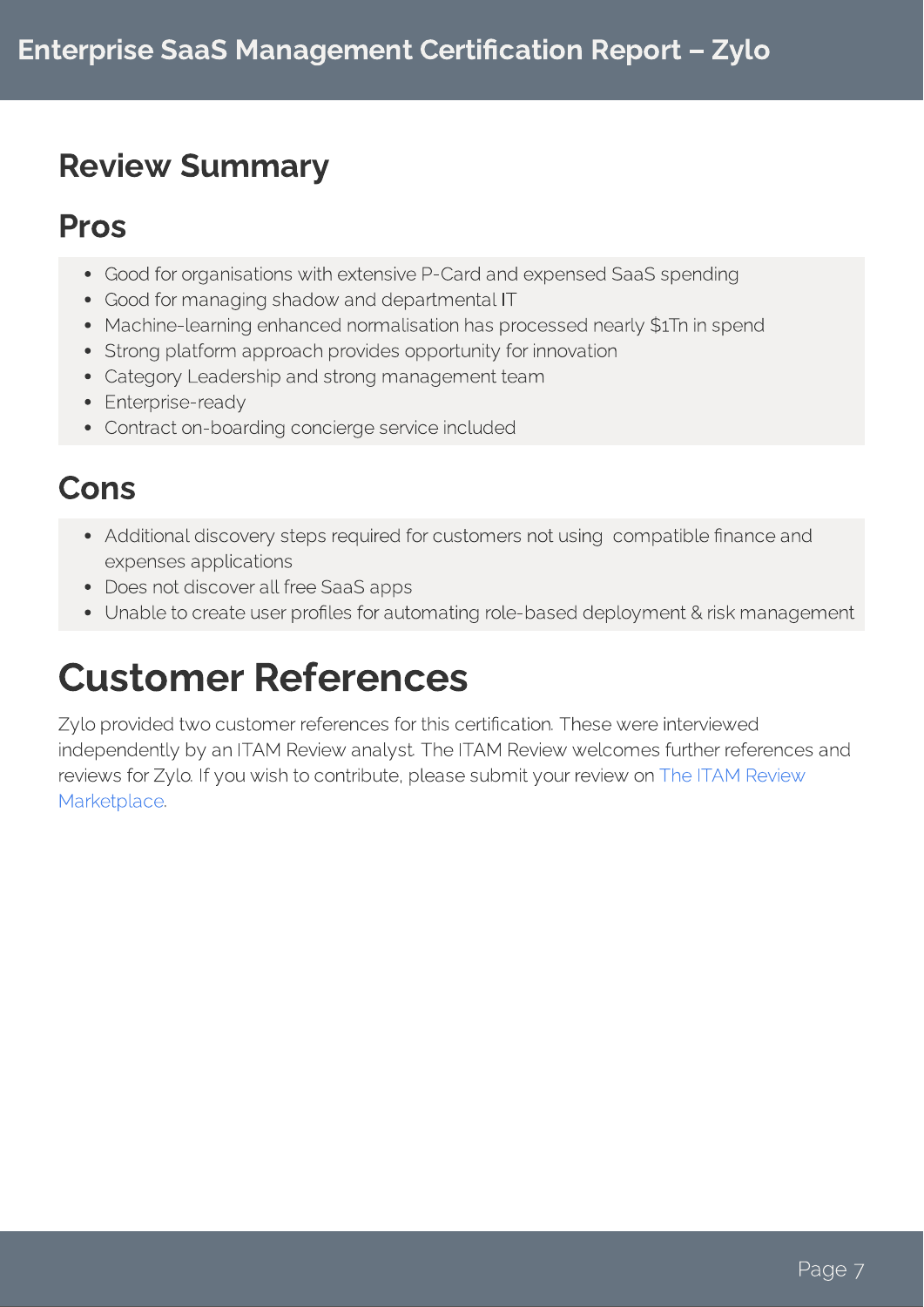## Review Summary

#### Pros

- Good for organisations with extensive P-Card and expensed SaaS spending<br>• Good for managing shadow and departmental IT
- 
- Machine-learning enhanced normalisation has processed nearly \$1Tn in spend
- Strong platform approach provides opportunity for innovation
- Category Leadership and strong management team
- $\bullet$  Enterprise-ready
- Enterprise-ready Contract on-boarding concierge service included

#### Cons

- Additional discovery steps required for customers not using compatible finance and expenses applications
- Does not discover all free SaaS apps
- Does not die die saak van die Saas-Spieg Unable to create user proles for automating role-based deployment & risk management

## Customer References

Zylo provided two customer references for this certification. These were interviewed<br>independently by an ITAM Review analyst. The ITAM Review welcomes further references and reviews for Zylo. If you wish to contribute, please submit your review on The ITAM Review reviews for Zylo. If you wish to contribute, please submit you review on the Marketplace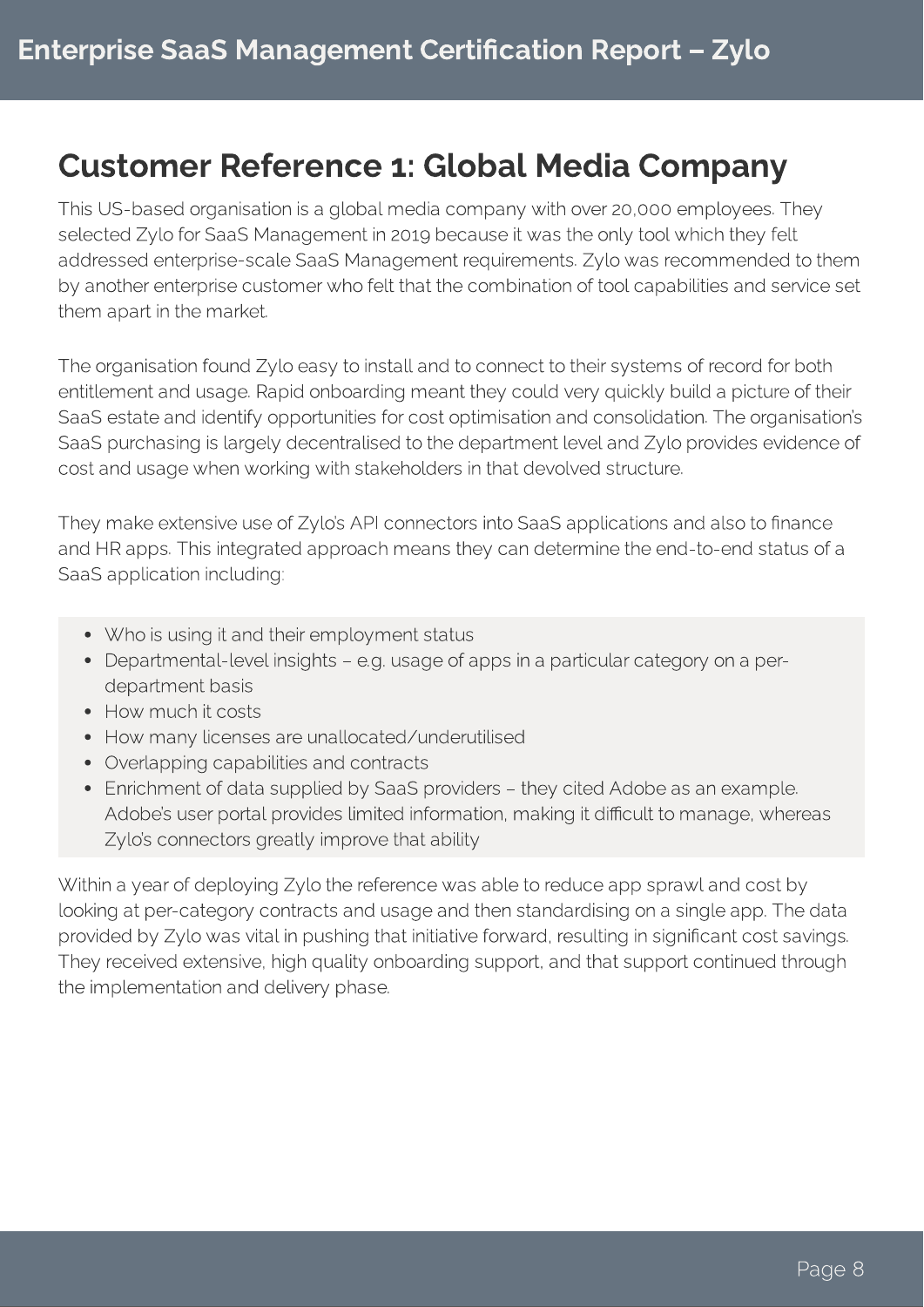#### Customer Reference 1: Global Media Company

This US-based organisation is a global media company with over 20,000 employees. They addressed enterprise-scale SaaS Management requirements. Zylo was recommended to them addressed enterprise-scale Saat Management republication of tool oppobilities and somice sot by another enterprise customer who felt that the combination of tool capabilities and service set them apart in the market.

The organisation found Zylo easy to install and to connect to their systems of record for both<br>entitlement and usage. Rapid onboarding meant they could very quickly build a picture of their SaaS estate and identify opportunities for cost optimisation and consolidation. The organisation's SaaS purchasing is largely decentralised to the department level and Zylo provides evidence of Saas purchasing is largely decentralised to the department level and zylo provides evidence of cost and usage when working with stakeholders in that devolved structure.

They make extensive use of Zylo's API connectors into SaaS applications and also to finance<br>and HR apps. This integrated approach means they can determine the end-to-end status of a SaaS application including: SaaS application including:

- 
- Who is using it and their employment status Departmental-level insights – e.g. usage of apps in a particular category on a perdepartment basis<br>• How much it costs
- 
- How many licenses are unallocated/underutilised
- Overlapping capabilities and contracts
- Enrichment of data supplied by SaaS providers they cited Adobe as an example. Adobe's user portal provides limited information, making it difficult to manage, whereas Adobe's user portal provides limited information, making it dicult to manage, whereas  $Z$ ylo connective greatly improve that ability

Within a year of deploying Zylo the reference was able to reduce app sprawl and cost by<br>looking at per-category contracts and usage and then standardising on a single app. The data provided by Zylo was vital in pushing that initiative forward, resulting in significant cost savings. They received extensive, high quality onboarding support, and that support continued through They received extensive, high quality onboarding support, and that support continued through the implementation and delivery phase.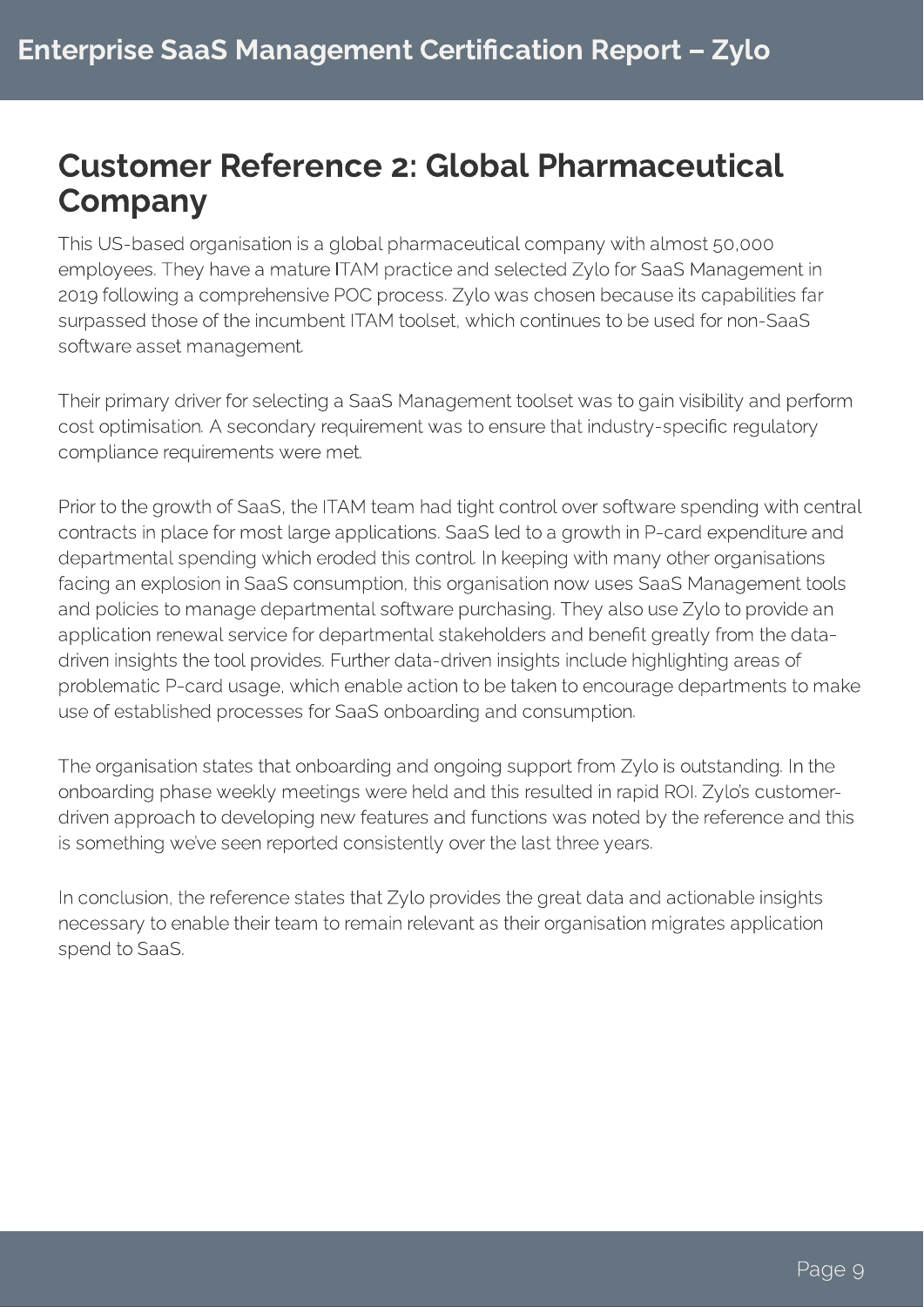### Customer Reference 2: Global Pharmaceutical **Company**

This US-based organisation is a global pharmaceutical company with almost 50,000<br>employees. They have a mature ITAM practice and selected Zylo for SaaS Management in 2019 following a comprehensive POC process. Zylo was chosen because its capabilities far surpassed those of the incumbent ITAM toolset, which continues to be used for non-SaaS surpassed those of the incumbent ITAM toolset, which continues to be used for non-SaaS software asset management.

Their primary driver for selecting a SaaS Management toolset was to gain visibility and perform<br>cost optimisation. A secondary requirement was to ensure that industry-specific requlatory compliance requirements were met. compliance requirements were met.

Prior to the growth of SaaS, the ITAM team had tight control over software spending with central<br>contracts in place for most large applications. SaaS led to a growth in P-card expenditure and departmental spending which eroded this control. In keeping with many other organisations facing an explosion in SaaS consumption, this organisation now uses SaaS Management tools and policies to manage departmental software purchasing. They also use Zylo to provide an application renewal service for departmental stakeholders and benefit greatly from the datadriven insights the tool provides. Further data-driven insights include highlighting areas of problematic P-card usage, which enable action to be taken to encourage departments to make problematic P-card usage, which enable action to be taken to encourage departments to make use of established processes for SaaS onboarding and consumption.

The organisation states that onboarding and ongoing support from Zylo is outstanding. In the onboarding phase weekly meetings were held and this resulted in rapid ROI. Zylo's customerdriven approach to developing new features and functions was noted by the reference and this is something we've seen reported consistently over the last three years. is something we've seen reported consistently over the last three years.

In conclusion, the reference states that Zylo provides the great data and actionate the great necessary to enable their team to remain relevant as their organisation migrates application spend to SaaS.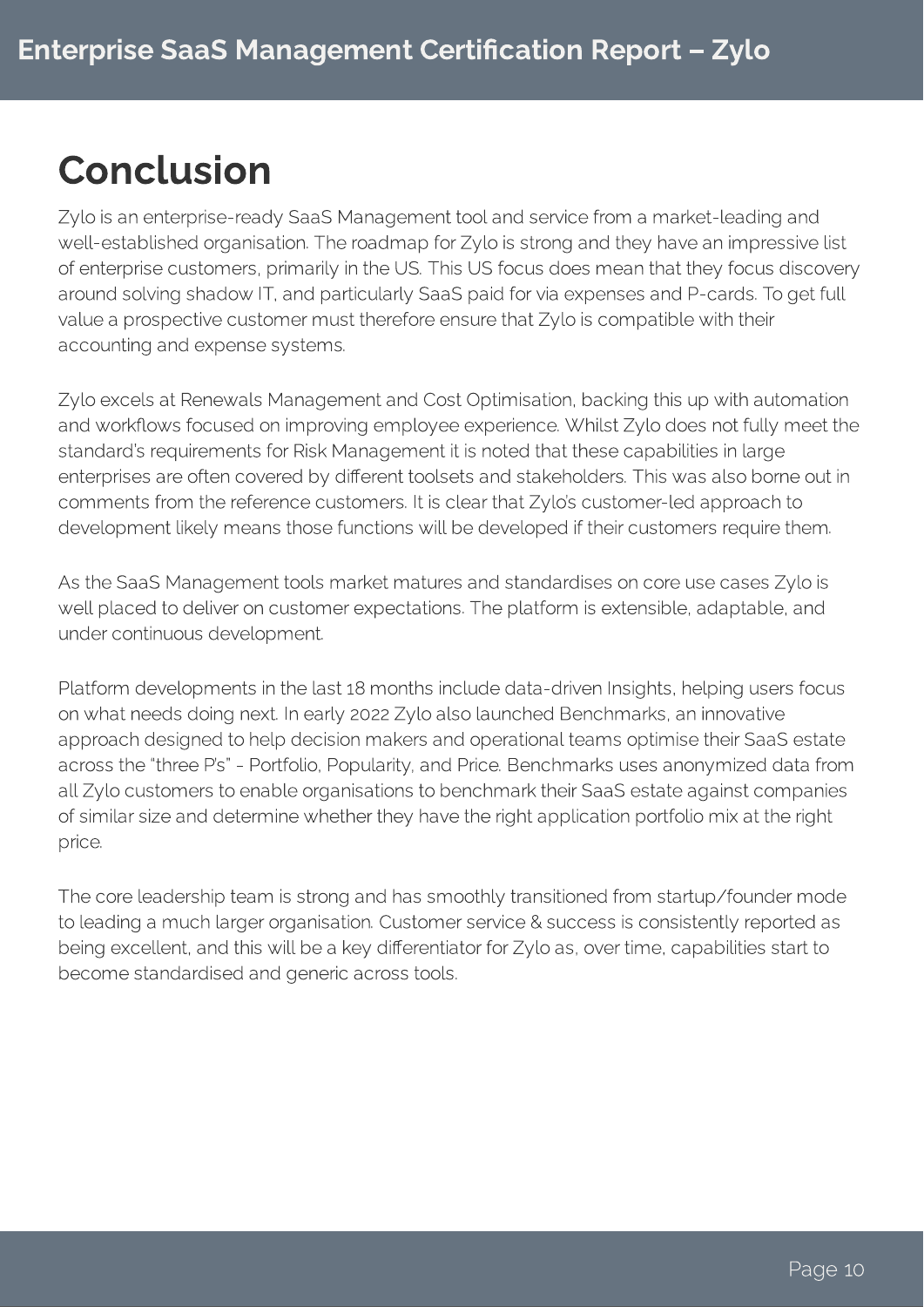## Conclusion

Zylo is an enterprise-ready SaaS Management tool and service from a market-leading and<br>well-established organisation. The roadmap for Zylo is strong and they have an impressive list of enterprise customers, primarily in the US. This US focus does mean that they focus discovery around solving shadow IT, and particularly SaaS paid for via expenses and P-cards. To get full value a prospective customer must therefore ensure that Zylo is compatible with their value a prospective customer must therefore ensure that Zylo is compatible with their accounting and expense systems.

Zylo excels at Renewals Management and Cost Optimisation, backing this up with automation standard's requirements for Risk Management it is noted that these capabilities in large enterprises are often covered by different toolsets and stakeholders. This was also borne out in comments from the reference customers. It is clear that Zylo's customer-led approach to comments from the reference customers. It is clear that  $Z$ ylo's customer for approach to development likely means those functions will be developed if their customers require them.

As the SaaS Management tools market matures and standardises on core use cases Zylo is<br>well placed to deliver on customer expectations. The platform is extensible, adaptable, and well placed to deliver on customer expectations. The platform is extensible, adaptable, and platform under continuous development.

Platform developments in the last 18 months include data-driven Insights, helping users focus<br>on what needs doing next. In early 2022 Zylo also launched Benchmarks, an innovative approach designed to help decision makers and operational teams optimise their SaaS estate across the "three P's" - Portfolio, Popularity, and Price. Benchmarks uses anonymized data from all Zylo customers to enable organisations to benchmark their SaaS estate against companies all zylo customers to enable a gainearens to benchmark the customers sympaths companies.<br>Of cimilar ciza and determine whether they have the right annihotion perfolio mix at the right of similar size and determine whether they have the right application portfolio mix at the right price.

The core leadership team is strong and has smoothly transitioned from startup/founder mode<br>to leading a much larger organisation. Customer service & success is consistently reported as being excellent, and this will be a key differentiator for Zylo as, over time, capabilities start to become standardised and generic across tools. become standardised and generic across tools.